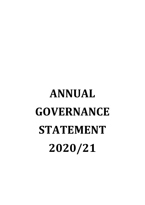# **ANNUAL GOVERNANCE STATEMENT 2020/21**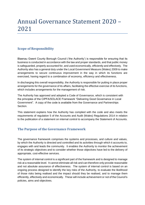# Annual Governance Statement 2020 – 2021

# **Scope of Responsibility**

Blaenau Gwent County Borough Council ('the Authority') is responsible for ensuring that its business is conducted in accordance with the law and proper standards, and that public money is safeguarded, properly accounted for, and used economically, efficiently and effectively. The Authority also has a general duty under the Local Government Measure (Wales) 2009 to make arrangements to secure continuous improvement in the way in which its functions are exercised, having regard to a combination of economy, efficiency and effectiveness.

In discharging this overall responsibility, the Authority is responsible for putting in place proper arrangements for the governance of its affairs, facilitating the effective exercise of its functions, which includes arrangements for the management of risk.

The Authority has approved and adopted a Code of Governance, which is consistent with the principles of the CIPFA/SOLACE Framework "Delivering Good Governance in Local Government". A copy of the code is available from the Governance and Partnerships Section.

This statement explains how the Authority has complied with the code and also meets the requirements of regulation 5 of the Accounts and Audit (Wales) Regulations 2014 in relation to the publication of a statement on internal control to accompany the Statement of Accounts.

# **The Purpose of the Governance Framework**

The governance framework comprises the systems and processes, and culture and values, by which the Authority is directed and controlled and its activities through which it accounts to, engages with and leads the community. It enables the Authority to monitor the achievement of its strategic objectives and to consider whether those objectives have led to the delivery of appropriate, cost-effective services.

The system of internal control is a significant part of the framework and is designed to manage risk at a reasonable level. It cannot eliminate all risk and can therefore only provide reasonable and not absolute assurance of effectiveness. The system of internal control is based on an ongoing process designed to identify the key risks of the Authority, to evaluate the likelihood of those risks being realised and the impact should they be realised, and to manage them efficiently, effectively and economically. These will include achievement or not of the Council's policies, aims and objectives.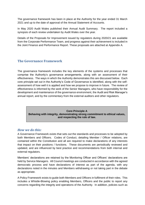The governance framework has been in place at the Authority for the year ended 31 March 2021 and up to the date of approval of the Annual Statement of Accounts.

In May 2020 Audit Wales published their Annual Audit Summary. The report included a synopsis of each review undertaken by Audit Wales over the year.

Details of the Proposals for Improvement issued by regulators during 2020/21 are available from the Corporate Performance Team, and progress against their achievement is included in the Joint Finance and Performance Report. These proposals are attached at Appendix A.

# **The Governance Framework**

The governance framework includes the key elements of the systems and processes that comprise the Authority's governance arrangements, along with an assessment of their effectiveness. The ways in which the Authority demonstrates this are discussed below. Each core principle set out in the Authority's Code of Governance is identified, along with the selfassessment of how well it is applied and how we propose to improve in future. The review of effectiveness is informed by the work of the Senior Managers, who have responsibility for the development and maintenance of the governance environment, the Audit and Risk Manager's annual report, and by the commentary from the external auditors and other regulators.

> **Core Principle A Behaving with integrity, demonstrating strong commitment to ethical values, and respecting the rule of law.**

# *How we do this:*

A Governance Framework exists that sets out the standards and processes to be adopted by both Members and Officers. Codes of Conduct, detailing Member / Officer relations, are contained within the Constitution and all are required to make declarations of any interests that impact on their positions / functions. These documents are periodically reviewed and updated, and are influenced by best practice and recommendations from both internal and external regulators.

Members' declarations are retained by the Monitoring Officer and Officers' declarations are held by Service Managers. All Council meetings are conducted in accordance with the agreed democratic process and have declarations of interest as part of the agenda, with any declarations noted in the minutes and Members withdrawing or not taking part in the debate as appropriate.

A Policy Framework exists to guide both Members and Officers in fulfilment of their roles. This includes a Whistle-Blowing policy enabling Members, Officers and the public to report any concerns regarding the integrity and operations of the Authority. In addition, policies such as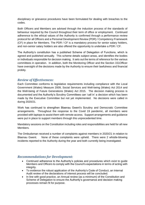disciplinary or grievance procedures have been formulated for dealing with breaches to the codes.

Both Officers and Members are advised through the induction process of the standards of behaviour required by the Council throughout their term of office or employment. Continued adherence to the ethical values of the Authority is confirmed through a performance review protocol for all Officers and a Personal Development Review (PDR) / Competency Framework (CF) in place for Members. The PDR / CF is a mandatory process for senior salary holders, and non-senior salary holders are also offered the opportunity to undertake a PDR / CF.

The Authority's constitution has a published Scheme of Delegation of Functions, which is agreed and published annually. This scheme details subject areas, and identifies the bodies or individuals responsible for decision making. It sets out the terms of reference for the various committees in operation. In addition, both the Monitoring Officer and the Section 151Officer have oversight of the decisions made by the Authority to ensure their lawfulness and financial probity.

# *Review of Effectiveness:*

Each Committee conforms to legislative requirements including compliance with the Local Government (Wales) Measure 2009, Social Services and Well-being (Wales) Act 2014 and the Well-being of Future Generations (Wales) Act 2015. The decision making process is documented and the Authority's Scrutiny Committees can 'call in' a decision which has been made by the Executive Committee but not yet implemented. No decisions were called in during 2020/21.

Work has continued to strengthen Blaenau Gwent's Scrutiny and Democratic Committee arrangements. Throughout the response to the Covid 19 pandemic, all members were provided with laptops to assist them with remote access. Support arrangements and guidance were put in place to support members through this unprecedented time.

Mandatory sessions on the Constitution including roles and responsibilities are held for all new Members.

The Ombudsman received a number of complaints against members in 2020/21 in relation to Blaenau Gwent. None of these complaints were upheld. There were 2 whistle-blowing incidents reported to the Authority during the year and both currently being investigated.

# *Recommendations for Development:*

- Continued adherence to the Authority's policies and procedures which exist to guide Members and Officers to comply with the Council's expectations in terms of acting with integrity.
- To evidence the robust application of the Authority's Code of Conduct, an Internal Audit review of the declarations of interest process will be concluded.
- In line with good practice, an Annual review (as a minimum) of the Constitution and Scheme of Delegation to ensure the Authority's governance and decision making processes remain fit for purpose.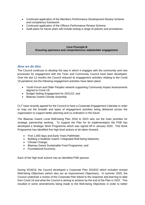- Continued application of the Members Performance Development Review Scheme and competency framework.
- Continued application of the Officers Performance Review Scheme.
- Audit plans for future years will include testing a range of policies and procedures.

#### **Core Principle B Ensuring openness and comprehensive stakeholder engagement.**

# *How we do this:*

The Council continues to develop the way in which it engages with the community and new processes for engagement with the Town and Community Council have been developed. Over the last 12 months the Council reduced its engagement activities relating to the Covid 19 pandemic but the following engagement activities have taken place:

- Youth Forum and Older Peoples network supporting Community Impact Assessments aligned to Covid 19;
- Budget Setting Engagement for 2021/22; and
- Blaenau Gwent Climate Assembly

CLT have recently agreed for the Council to have a Corporate Engagement Calendar in order to map out the breadth and types of engagement activities being delivered across the organisation to support better planning and co-ordination in the future.

The Blaenau Gwent Local Well-being Plan 2018 to 2023 sets out the main priorities for strategic partnership working. To support the Plan for its implementation the PSB has developed a Strategic Work Programme which was signed off in January 2020. This Work Programme has identified five high level actions to be taken forward:

- First 1,000 days and Early Years Pathfinder;
- Building a healthier Gwent / Integrated Well-being Networks;
- Climate Change;
- Blaenau Gwent Sustainable Food Programme; and
- Foundational Economy.

Each of the high level actions has an identified PSB sponsor.

During 2018/19, the Council developed a Corporate Plan 2018/22 which included revised Well-being Objectives (which also act as Improvement Objectives). In summer 2020, the Council undertook a review of the Corporate Plan linked to the response and learning to date from Covid 19 and what the Council is aiming to achieve by the end of the Plan in 2022. This resulted in some amendments being made to the Well-being Objectives in order to better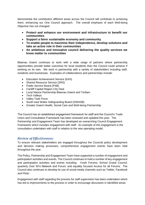demonstrate the contribution different areas across the Council will contribute to achieving them, enhancing our One Council approach. The overall emphasis of each Well-being Objective has not changed:

- **Protect and enhance our environment and infrastructure to benefit our communities**
- **Support a fairer sustainable economy and community**
- **To enable people to maximise their independence, develop solutions and take an active role in their communities**
- **An ambitious and innovative council delivering the quality services we know matter to communities**

Blaenau Gwent continues to work with a wide range of partners where partnership opportunities provide better outcomes for local residents than the Council could achieve if working on its own. We work in partnership with a variety of stakeholders including staff, residents and businesses. Examples of collaborations and partnerships include:

- Education Achievement Service (EAS)
- Shared Resource Service (SRS)
- Public Service Board (PSB)
- Cardiff Capital Region City Deal
- Local Nature Partnership Blaenau Gwent and Torfaen
- Tech Vallevs

.

- Valley Task Force
- South east Wales Safeguarding Board (GWASB)
- Greater Gwent Health, Social Care and Well-being Partnership;

The Council has an established engagement framework for staff and the Council's Trade Union and Consultation Framework has been reviewed and updated this year. The Partnership and Engagement Team has developed an overarching Council Engagement Framework which includes engagement with staff. An example of this engagement is the consultation undertaken with staff in relation to the new operating model.

# *Review of Effectiveness:*

To ensure relevant stakeholders are engaged throughout the Councils policy development and decision making processes, comprehensive engagement events have been held throughout the year.

The Policy, Partnership and Engagement Team have supported a number of engagement and participation activities and events. The Council continues to hold a number of key engagement and participation activities and events including: Youth Forums; School Grand Council; quarterly Over 50's Network and Forum; and equality focused Access for all Forums. The Council also continues to develop its use of social media channels such as Twitter, Facebook and Flickr.

Engagement with staff regarding the process for staff supervision has been undertaken which has led to improvements to the process in order to encourage discussion in identified areas.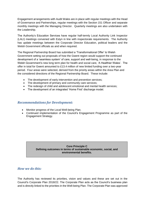Engagement arrangements with Audit Wales are in place with regular meetings with the Head of Governance and Partnerships, regular meetings with the Section 151 Officer and separate monthly meetings with the Managing Director. Quarterly meetings are also undertaken with the Leadership.

The Authority's Education Services have regular half-termly Local Authority Link Inspector (LALI) meetings convened with Estyn in line with inspectorate requirements. The Authority has update meetings between the Corporate Director Education, political leaders and the Welsh Government officials as and when required.

The Regional Partnership Board has submitted a 'Transformational Offer' to Welsh Government setting out proposals of how the Gwent region would support the continued development of a 'seamless system' of care, support and well-being, in response to the Welsh Government's new long term plan for health and social care, 'A Healthier Wales'. The offer in total for Gwent amounted to £13.4 million of new limited funding over a two-year period. Four areas were selected, derived from the priority areas within the Area Plan and the considered directions of the Regional Partnership Board. These include:

- The development of early intervention and prevention services;
- The development of primary and community care services;
- The redesign of child and adolescent emotional and mental health services;
- The development of an integrated 'Home First' discharge model.

# *Recommendations for Development:*

- Monitor progress of the Local Well-being Plan.
- Continued implementation of the Council's Engagement Programme as part of the Engagement Strategy.

#### **Core Principle C Defining outcomes in terms of sustainable economic, social, and environmental benefits.**

# *How we do this:*

The Authority has reviewed its priorities, vision and values and these are set out in the Council's Corporate Plan 2018/22. The Corporate Plan acts as the Council's business plan and is directly linked to the priorities in the Well-being Plan. The Corporate Plan was approved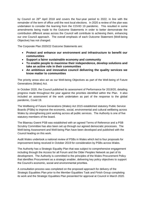by Council on 26<sup>th</sup> April 2018 and covers the four-year period to 2022, in line with the remainder of the term of office until the next local elections. In 2020 a review of the plan was undertaken to consider the learning from the COVID 19 pandemic. This resulted in some amendments being made to the Outcome Statements in order to better demonstrate the contribution different areas across the Council will contribute to achieving them, enhancing our one Council approach. The overall emphasis of each Outcome Statement (Well-being Objective) has not changed.

The Corporate Plan 2020/22 Outcome Statements are:

- **Protect and enhance our environment and infrastructure to benefit our communities**
- **Support a fairer sustainable economy and community**
- **To enable people to maximise their independence, develop solutions and take an active role in their communities**
- **An ambitious and innovative council delivering the quality services we know matter to communities**

The priority areas also act as our Well-being Objectives as part of the Well-being of Future Generations (Wales) Act.

In October 2020, the Council published its assessment of Performance for 2019/20, detailing progress made throughout the year against the priorities identified within the Plan. It also included an assessment of the work undertaken as part of the response to the global pandemic, Covid 19.

The Wellbeing of Future Generations (Wales) Act 2015 established statutory Public Service Boards (PSBs) to improve the economic, social, environmental and cultural wellbeing across Wales by strengthening joint working across all public services. The Authority is one of five statutory members of the board.

The Blaenau Gwent PSB was established with an agreed Terms of Reference and a PSB Scrutiny Committee has also been set up through our agreed democratic processes. The Well-being Assessment and Well-being Plan have been developed and published with the Council leading on this work.

Audit Wales undertook a national review of PSBs in Wales which led to four proposals for improvement being received in October 2019 for consideration by PSBs across Wales.

The Authority has a Strategic Equality Plan that was subject to comprehensive engagement including through the Access for all Forum and the Older Peoples Network as part of its development. The Authority is committed to the principles of the Wales Procurement Policy that identifies Procurement as a strategic enabler, delivering key policy objectives to support the Council's economic, social and environmental priorities.

A consultation process was completed on the proposed approach for delivery of the Strategic Equalities Plan prior to the Member Equalities Task and Finish Group completing its work and the Strategic Equalities Plan presented for approval at Council in March 2020.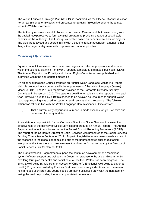The Welsh Education Strategic Plan (WESP), is monitored via the Blaenau Gwent Education Forum (WEF) on a termly basis and presented to Scrutiny / Executive prior to the annual return to Welsh Government.

The Authority receives a capital allocation from Welsh Government that is used along with the capital receipt reserve to form a capital programme providing a range of sustainable benefits for the Authority. The funding is allocated based on departmental bids for projects. The bids are analysed and scored in line with a set of criteria that consider, amongst other things, the projects alignment with corporate and national priorities.

# *Review of Effectiveness:*

Equality Impact Assessments are undertaken against all relevant proposals, and included within the business planning framework, reporting template and strategic business reviews. The Annual Report to the Equality and Human Rights Commission was published and submitted within the appropriate timescales.

On an annual basis the Council prepares an Annual Welsh Language Monitoring Report, which is produced in accordance with the requirements of the Welsh Language (Wales) Measure 2011. The 2019/20 report was provided to the Corporate Overview Scrutiny Committee in December 2020. The statutory deadline for publishing the report is June each year. However, due to Covid 19 this needed to be delayed as resources to support Welsh Language reporting was used to support critical services during response. The following action was taken in-line with the Welsh Language Commissioner's Office advice:

i) That a current copy of your annual report is made available on your website and the reason for delay is stated.

It is a statutory responsibility for the Corporate Director of Social Services to assess the effectiveness of the delivery of Social Services and produce an Annual Report. The Annual Report contributes to and forms part of the Annual Council Reporting Framework (ACRF). The report of the Corporate Director of Social Services was presented to the Social Services Scrutiny Committee in September 2019. As part of legislative amendments made as part of the response to the global pandemic and due to the unprecedented challenges facing everyone at this time there is no requirement to submit performance data by the Director of Social Services until September 2021.

The Transformation Programme to support the continued development of a 'seamless system' of care, support and wellbeing in Gwent, in response to the Welsh Government's new long term plan for health and social care 'A Healthier Wales' has seen progress. The SPACE well-being (Single Point of Access for Children's Emotional Well-being and Mental Health) Programme hosted by Families First have shown early indications that the mental health needs of children and young people are being assessed early with the right agency taking the lead on providing the most appropriate interventions.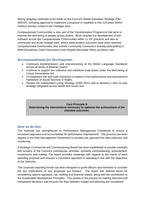Strong progress continues to be made on the Council's Welsh Education Strategic Plan (WESP), including approval to implement a proposal to establish a new 210 place Welsh medium primary school in the Tredegar area.

Compassionate Communities is also part of the Transformation Programme that aims to improve the well-being of people across Gwent. Work includes the development of IAA outreach across the Compassionate Communities within 11 GP practices and also at community and acute hospital sites, where initial positive outcomes have been reported. Compassionate Communities also include Community Connectors actively participating in Multi-Disciplinary Team Discussions and Hospital discharge follow up phone calls.

# *Recommendations for Development:*

- Continued implementation and mainstreaming of the Welsh Language Standards across all areas of Blaenau Gwent.
- Continue to support the collective and individual body duties under the Well-being of Future Generations Act.
- To implement the new code of practice in relation to the performance and improvement framework of Social Services in Wales.
- Review the Independent Living Strategy (2005-2021) and to develop a new 10-year strategy integrated across health and social care.

#### **Core Principle D Determining the interventions necessary to optimise the achievement of the intended outcomes.**

# *How we do this:*

The Authority has strengthened its Performance Management Framework to ensure a consistent approach and accountability for performance improvement. This process has been aligned to the Risk Management Framework to provide one approach for data collection and monitoring.

A Strategic Commercial and Commissioning Board has been established to provide oversight and scrutiny of the Council's commercial; activities, primarily commissioning, procurement, investments and trading. The board provides challenge with regards to the merits of each spending proposal and ensures a consistent approach to spending in line with the objectives of the Authority.

The corporate reporting format has been designed to guide officers and members to consider the key implications of any proposals put forward. The report has defined areas for considering options appraisal, risk, staffing and financial impact, along with the contribution to the Sustainable Development Principles. This assists in the process for making informed and transparent decisions and ensures the links between budget and planning are considered.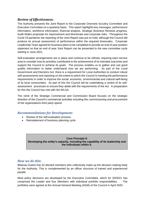# *Review of Effectiveness:*

The Authority presents the Joint Report to the Corporate Overview Scrutiny Committee and Executive Committee on a quarterly basis. This report highlights key messages, performance information, workforce information, financial analysis, Strategic Business Reviews progress, Audit Wales proposals for improvement and directorate and corporate risks. Throughout the Covid 19 pandemic the reporting of the Joint Report was put on hold, although the Council did produce its annual assessment of performance within the required timescales. Corporate Leadership Team agreed for business plans to be completed to provide an end of year position statement so that an end of year Joint Report can be presented to the new committee cycle starting in June 2021.

Self-evaluation arrangements are in place and continue to be refined, requiring each service area to consider how its activities contributed to the achievement of its intended outcomes and support the Council to achieve its goals. The process enables us to gather and use good quality information to better understand how we are performing. As part of the Local Government and Elections Act, there is a requirement for Local Authorities to conduct robust self-assessments and reporting on the extent to which the Council is meeting the performance requirements in order to improve the social, economic, environmental and cultural well-being of its local communities. As part of this the Council will be undertaking a review of its selfassessment processes to ensure they abide with the requirements of the Act. In preparation for this the Council has met with the WLGA.

The remit of the Strategic Commercial and Commission Board focuses on the strategic direction of the Council's commercial activities including the commissioning and procurement of the organisations third party spend.

# *Recommendations for Development:*

- Review of the self-evaluation process.
- Reinstatement of business planning cycle

**Core Principle E Developing the entity's capacity, including the capability of its leadership and the individuals within it.**

# *How we do this:*

Blaenau Gwent has 42 elected members who collectively make up the decision making body for the Authority. This is complemented by an officer structure of trained and experienced people.

Most policy decisions are developed by the Executive Committee, which for 2020/21 has comprised the Leader and four Members with individual portfolio responsibilities. The portfolios were agreed at the Annual General Meeting (AGM) of the Council in April 2020.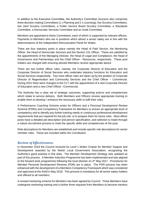In addition to the Executive Committee, the Authority's Committee structure also comprises three decision making Committees (1 x Planning and 2 x Licensing), five Scrutiny Committees, two Joint Scrutiny Committees, a Public Service Board Scrutiny Committee, a Standards Committee, a Democratic Services Committee and an Audit Committee.

Members are appointed to these Committees, each of which is supported by relevant officers. Payments to Members who are in positions which attract a senior salary are in line with the determinations of the Independent Remuneration Panel for Wales.

There are four statutory posts in place namely the Head of Paid Service, the Monitoring Officer, the Head of Democratic Services and the Section 151 Officer. These are satisfied by the appointments of the Managing Director, the Head of Legal and Compliance, the Head of Governance and Partnerships and the Chief Officer - Resources, respectively. These post holders are charged with ensuring elected Members receive appropriate advice

There are two further officer roles, namely, the Corporate Director of Education and the Corporate Director of Social Services who undertake statutory functions for Education and Social Services respectively. Two more officer roles are taken up by the position of Corporate Director of Regeneration and Community Services and the Chief Officer – Commercial. During 2021 there were changes to the CLT with the appointment of a new Corporate Director of Education and a new Chief Officer –Commercial.

The Authority has a clear set of strategic outcomes, supporting actions and competencies which relate to service delivery. Both Members and Officers receive appropriate training to enable them to develop / enhance the necessary skills to fulfil their roles.

A Performance Coaching Scheme exists for Officers and a Personal Development Review Scheme (PDRs) and Competency Framework for Members to ensure an appropriate level of competency and to identify any further training needs or continuous professional development requirements that are required for the job role, or to prepare them for future roles. Most officer posts have a detailed job description and person specification, and selection is made through a robust recruitment process to meet the specific skills and competencies of the post.

Role descriptions for Members are established and include specific role descriptions for senior member roles. These are included within the Constitution.

# *Review of Effectiveness:*

In November 2018 the Council received its Level 1 Wales Charter for Member Support and Development awarded by the Welsh Local Government Association, recognising the Authority's good practice in this area. The Member Development Strategy was updated as part of this process. A Member Induction Programme has been implemented and was aligned to the forward work programmes following the local election on 4<sup>th</sup> May 2017. Procedures for Member Personal Development Reviews (PDR) are in place. The PDR process has been enhanced with the development of a Members Competency Framework which was considered and approved at the AGM in May 2018. This process is mandatory for all senior salary holders and offered to all members.

A revised mentoring scheme for Members has been agreed by Council. Three Members have undergone mentoring training and a further three requests from Members to become mentors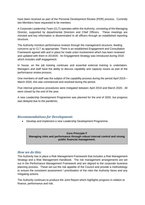have been received as part of the Personal Development Review (PDR) process. Currently two Members have requested to be mentees.

A Corporate Leadership Team (CLT) operates within the Authority, consisting of the Managing Director, supported by departmental Directors and Chief Officers. These meetings are minuted and key information is disseminated to all officers through an established reporting structure.

The Authority monitors performance reviews through the management structure, feeding concerns up to CLT as appropriate. There is an established Engagement and Consultation Framework agreed with and in place for trade union involvement which has been reviewed and updated with them in 2019/20. An Engagement Strategy was introduced during 2018 which includes staff engagement.

In house, on the job training continues and essential external training is undertaken. Managers and staff have the ability to discuss capability and capacity issues as part of the performance review process.

One members of staff was the subject of the capability process during the period April 2019 – March 2020, this was commenced and resolved during the period.

Five internal grievance procedures were instigated between April 2019 and March 2020. All were closed by the end of the year.

A new Leadership Development Programme was planned for the end of 2020, but progress was delayed due to the pandemic.

# *Recommendations for Development:*

Develop and implement a new Leadership Development Programme.

**Core Principle F Managing risks and performance through robust internal control and strong public financial management.**

# *How we do this:*

The Authority has in place a Risk Management Framework that includes a Risk Management Strategy and a Risk Management Handbook. The risk management arrangements are set out in the Performance Management Framework and are aligned to the corporate business planning process. These set out the risk appetite of the Council and provide a methodology to ensure the consistent assessment / prioritisation of the risks the Authority faces and any mitigating actions.

The Authority continues to produce the Joint Report which highlights progress in relation to finance, performance and risk.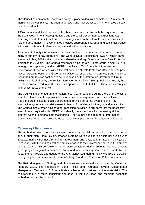The Council has an adopted corporate policy in place to deal with complaints. A review of monitoring the complaints has been undertaken and new processes and nominated officers have been identified.

A Governance and Audit Committee has been established in line with the requirements of the Local Government (Wales) Measure and the Local Government and Elections Act, receiving reports from internal and external regulators on the internal control environment, risk and governance. The Committee provides appropriate challenge and seeks assurance in line with its terms of reference that are laid in the constitution.

As a Local Authority it is necessary that we collect and use personal information to perform many of our day-to-day operations. The General Data Protection Act (GDPR) which came into force in May 2018 is the most comprehensive and significant change to Data Protection legislation in 20 years. The Council established a Corporate Project Group in April 2017 to manage the preparatory work for GDPR compliance. The Council's 'Information & Governance Officer' was assigned the statutory role of Data Protection Officer and the post retitled 'Data Protection and Governance Officer' to reflect this. The project group has since disbanded but reviews continue to be undertaken by the Information Governance Group (IGF) which is chaired by the Senior Information Risk Officer (SIRO). Following Brexit, the GDPR is now referred to as UK-GDPR as opposed to the EU-GDPR. There are currently no differences between the two.

The Council implemented an Information Asset Owner structure during the GDPR project to establish clear lines of responsibility for information management. Information Asset Registers are in place for each Department to provide corporate oversight of all key information systems and to risk assess in terms of confidentiality, integrity and availability. The Council also created a Record of Processing Activities to drill down into the necessary level of detail required under GDPR and identify the lawful basis for processing all the different types of personal data that it holds. The Council has a number of Information Governance policies and procedures to manage compliance with its statutory obligations.

# *Review of Effectiveness:*

The Authority's key governance systems continue to be risk assessed and included in the annual audit plan. Two key governance systems were subject to an internal audit during 2019/20, namely Business Planning Improvement and Data, and Strategic Policy (Welsh Language), with the findings of these audits reported to the Governance and Audit Committee during 2020/21. Three follow-up audits were completed during 2020/21 with two showing good progress against recommendations and one requiring some further work by the department. A review and update of the Anti-Money Laundering Policy was also undertaken during the year, and a review of the Anti-Bribery, Fraud and Corruption Policy commenced.

The Risk Management Strategy and Handbook were reviewed and adopted by Council in February 2018. The Professional Lead – Risk and Insurance advises Departmental Management Teams and CLT to facilitate challenge / discussions on directorate risks. This has resulted in a more consistent approach to risk evaluation and reporting becoming embedded across the Council.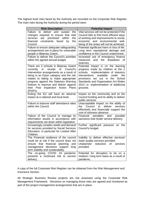The highest level risks faced by the Authority are recorded on the Corporate Risk Register. The main risks facing the Authority during the period were:

| <b>Risk Description</b>                                                                                                                                                                                                                                                                                                                                   | <b>Potential Impact</b>                                                                                                                                                                                                                                                                                    |
|-----------------------------------------------------------------------------------------------------------------------------------------------------------------------------------------------------------------------------------------------------------------------------------------------------------------------------------------------------------|------------------------------------------------------------------------------------------------------------------------------------------------------------------------------------------------------------------------------------------------------------------------------------------------------------|
| deliver and<br>Failure<br>to<br>sustain<br>the<br>changes required to ensure that<br>vital<br>prioritised<br>services<br>within<br>the<br>are<br>financial<br>constraints<br>faced<br>the<br>by<br>Council.                                                                                                                                               | Vital services will not be protected if the<br>Council fails to find more efficient ways<br>of working and improvements to social,<br>environmental<br>economic<br>and<br>well-<br>being of the areas will not be achieved.                                                                                |
| Failure to ensure adequate safeguarding<br>arrangements are in place for vulnerable<br>people in Blaenau Gwent.<br>Failure to deliver the Council's priorities<br>within the agreed annual budget.                                                                                                                                                        | Potential significant harm or loss of life.<br>Long term reputational damage and<br>confidence in the Council undermined.<br>Increased use of emergency finance<br>and the drawdown<br><b>of</b><br>measures<br>reserves.                                                                                  |
| There are 3 schools in Blaenau Gwent<br>receipt of<br>in<br>Council's<br>currently<br>Intervention arrangements as a result of<br>being in an Estyn category and the risk<br>relates to failing to make appropriate<br>progress against the Statutory Warning<br>Notices to improve and deliver against<br>their Post Inspection Action Plans<br>(PIAPs). | Potential<br>impact is on the learning<br>progress made by children at the 2<br>Implementation of statutory<br>schools.<br>the<br>interventions<br>available<br>under<br>provisions set out in<br>the School<br>Standards and Organisation Act Wales<br>2013 i.e. implementation of additional<br>grounds. |
| Exiting the EU will have an adverse<br>impact at a national and local level.                                                                                                                                                                                                                                                                              | Impact on the community and on the<br>Council funding and its ability to deliver<br>public services.                                                                                                                                                                                                       |
| Failure to improve staff attendance rates<br>within the Council.                                                                                                                                                                                                                                                                                          | Unacceptable impact on the ability of<br>Council<br>to<br>deliver<br>the<br>services<br>effectively and financially support the<br>cost of sickness absence.                                                                                                                                               |
| Failure of the Council to manage its<br>information assets in accordance with<br>requirements set down within legislation                                                                                                                                                                                                                                 | Financial<br>penalties<br>and<br>possible<br>sanctions that hinder service delivery.                                                                                                                                                                                                                       |
| Increasingly complex needs and demand<br>for services provided by Social Services<br>Education, in particular for Looked After<br>Children.                                                                                                                                                                                                               | Further significant pressure on<br>the<br>Council's budget.                                                                                                                                                                                                                                                |
| The Financial resilience of the council<br>could be at risk if the council does not<br>ensure that<br>financial planning<br>and<br>management decisions support<br>long<br>term stability and sustainability.                                                                                                                                             | Inability to deliver effective services/<br>lower quality services provided.<br>Unplanned<br>reduction<br>of<br>services<br>provided.                                                                                                                                                                      |
| The on-going COVID 19 pandemic<br>presents a continued risk to service<br>delivery.                                                                                                                                                                                                                                                                       | Potential for disruption to be on a<br>medium / long term basis as a result of<br>pandemic.                                                                                                                                                                                                                |

A copy of the full Corporate Risk Register can be obtained from the Risk Management and Insurance Section.

All Strategic Business Review projects are risk assessed using the Corporate Risk Management Framework. Decisions on managing those risks are agreed and monitored as part of the project management arrangements that are in place.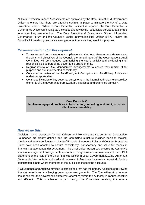All Data Protection Impact Assessments are approved by the Data Protection & Governance Officer to ensure that there are effective controls in place to mitigate the risk of a Data Protection Breach. Where a Data Protection Incident is reported, the Data Protection & Governance Officer will investigate the cause and review the responsible service area controls to ensure they are effective. The Data Protection & Governance Officer, Information Governance Forum and the Council's Senior Information Risk Officer (SIRO) review the Council's information governance arrangements to ensure they are fit for purpose.

# *Recommendations for Development:*

- To assess and demonstrate its compliance with the Local Government Measure and the aims and objectives of the Council, the annual report of the Governance & Audit Committee will be produced summarising the year's activity and evidencing their responsibilities as part of the governance arrangements.
- Regular review of Risk Management arrangements to ensure they remain fit for purpose and are implemented consistently.
- Conclude the review of the Anti-Fraud, Anti-Corruption and Anti-Bribery Policy and update as appropriate
- Continued inclusion of key governance systems in the internal audit plan to ensure key elements of the governance framework are prioritised and examined annually.

#### **Core Principle G Implementing good practices in transparency, reporting, and audit, to deliver effective accountability.**

# *How we do this:*

Decision making processes for both Officers and Members are set out in the Constitution. Boundaries are clearly defined and the Committee structure includes decision making, scrutiny and regulatory functions. A set of Financial Procedure Rules and Contract Procedure Rules have been adopted to ensure consistency, transparency and value for money in financial management and procurement. The Chief Officer Resources ensures the Authority's financial management arrangements conform to the governance requirements of the CIPFA Statement on the Role of the Chief Financial Officer in Local Government (2016). An annual Statement of Accounts is produced and presented to Members for scrutiny. A period of public consultation is held where members of the public can inspect the accounts.

A Governance and Audit Committee is established that has the primary functions of reviewing financial reports and challenging governance arrangements. The Committee aims to seek assurance that the governance framework operating within the Authority is robust, effective and efficient. This is achieved in part through the Committee receiving this Annual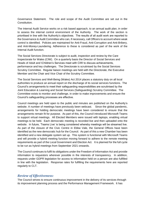Governance Statement. The role and scope of the Audit Committee are set out in the Constitution.

The Internal Audit Service works on a risk based approach, to an annual audit plan, in order to assess the internal control environment of the Authority. The work of the section is prioritised in line with the Authority's objectives. The results of all audit work are reported to the Governance & Audit Committee who can, if necessary, call Officers to account where weak control is identified. Policies are maintained for Anti-Fraud, Anti-Corruption and Anti-Bribery, and Anti-Money-Laundering. Adherence to these is considered as part of the work of the Internal Audit function.

The Social Services Directorate is subject to audit, inspection and review by the Care Inspectorate for Wales (CIW). On a quarterly basis the Director of Social Services and Heads of Adult and \Children's Services meet with CIW to discuss achievements, performance and key challenges. The Directorate is scrutinised by the Social Services Scrutiny Committee. Regular liaison meetings are held with the Directorate, the Executive Member and the Chair and Vice Chair of the Scrutiny Committee.

The Social Services and Well-Being (Wales) Act 2014 places a statutory duty on all local authorities to produce an annual report on the discharge of its social services functions. The Council's arrangements to meet their safeguarding responsibilities are scrutinised by the Joint Education & Learning and Social Services (Safeguarding) Scrutiny Committee. The Committee exists to monitor and challenge, in order to make improvements and ensure the Council's safeguarding processes are effective.

Council meetings are held open to the public and minutes are published on the Authority's website. A number of meetings have previously been webcast. Since the global pandemic, arrangements for holding democratic meetings have been considered to ensure that the arrangements remain fit for purpose. As part of this, the Council introduced Microsoft Teams to support virtual meetings. All Elected Members were issued with laptops, enabling virtual meetings to be held. Each democratic meeting is recorded live and then uploaded onto the website. In future, 'Teams Live' is being considered whereby meetings will be streamed live. As part of the closure of the Civic Centre in Ebbw Vale, the General Offices have been identified as the new democratic hub for the Council. As part of this a new Chamber has been identified and a new delegate system set up. This system is functional with Microsoft Teams and will provide a hybrid meeting function moving forward to adhere to the remote meeting requirements as part of the Local Government and Election Act. It is planned for the full cycle to be run as hybrid meetings from September 2021 onwards.

The Council continues to fulfil its obligations under the Freedom of Information Act and provide information to requestors wherever possible in the interests of transparency. In addition, requests under GDPR legislation for access to information held on a person are also fulfilled in line with the legislation. Response rates for fulfilling the requirements here are reported regularly to CLT.

# *Review of Effectiveness:*

The Council strives to ensure continuous improvement in the delivery of its services through its improvement planning process and the Performance Management Framework. It has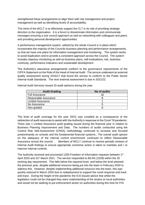strengthened these arrangements to align them with risk management and project management as well as identifying levels of accountability.

The remit of the WCLT is to effectively support the CLT in its role of providing strategic direction to the organisation. It is a forum to disseminate information and communicate messages ensuring a one council approach as well as networking with colleagues and peers and providing personal development opportunities.

A performance management system, utilised by the whole Council is in place which incorporates the majority of the Councils business planning and performance arrangements, so that we have one place for information management and monitoring. The system works to avoid duplication and to provide a consistent approach across the Council. The system includes statutory monitoring as well as business plans, self-evaluations, risk, business continuity, performance indicators and sustainable development.

The Authority's assurance arrangements conform to the governance requirements of the CIPFA Statement on the Role of the Head of Internal Audit. The service underwent an external quality assessment during 2016/17 that found the service to conform to the Public Sector Internal Audit Standards. The next external assessment is due in 2021/22.

| <b>Audit Grading</b>  | No of audits |
|-----------------------|--------------|
| <b>Full Assurance</b> | 16           |
| Reasonable Assurance  |              |
| Limited Assurance     |              |
| No Assurance          |              |
| Non-graded            |              |

Internal Audit Services issued 33 audit opinions during the year.

The level of audit coverage for the year 20/21 was curtailed as a consequence of the redirection of audit resources to assist with the Authority's response to the Covid 19 pandemic. There was 1 Limited Assurance audit grading issued during the financial year in relation to Business Planning Improvement and Data. The numbers of audits conducted using the Control Risk Self-Assessment (CRSA) methodology continued to increase and focused predominantly on schools and the fundamental financial systems., The overall audit opinion on the adequacy of the internal control environment continued to reflect Reasonable Assurance across the council. Members of WCLT continue to receive periodic reviews of Internal Audit findings to ensure appropriate corrective action is taken to maintain and / or improve internal controls.

The Authority received and processed 1200 Freedom of Information requests between 1<sup>st</sup> April 2020 and 31<sup>st</sup> March 2021. The service responded to 86.5% (1039) within the 20 working day requirement. This falls below the required level, and below the level attained the previous year, despite additional resource being put into the team in February 2020 to address this. However, despite implementing additional resource into the team, this was quickly reduced in March 2020 due to redeployment to support the covid response and track and trace. During the height of the pandemic the ICO issued advice that whilst the legislation could not be changed they were understanding of the strains on local authorities and would not be seeking to put enforcement action on authorities during this time for FOI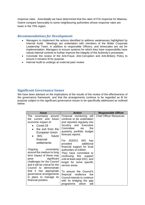response rates. Anecdotally we have determined that the rates of FOI response for Blaenau Gwent compare favourably to some neighbouring authorities whose response rates are lower in the 70% region.

# *Recommendations for Development:*

- Managers to implement the actions identified to address weaknesses highlighted by Internal Audit. Meetings are undertaken with members of the Wider Corporate Leadership Team, in addition to responsible Officers, and timescales are set for implementation. Managers to ensure systems for which they have responsibility have robust internal controls to further improve the integrity of the Authority's processes.
- Conclude the review of the Anti-Fraud, Anti-Corruption and Anti-Bribery Policy to ensure it remains fit for purpose.
- Internal Audit to undergo an external peer review

# **Significant Governance Issues**

We have been advised on the implications of the results of the review of the effectiveness of the governance framework, and that the arrangements continue to be regarded as fit for purpose subject to the significant governance issues to be specifically addressed as outlined below:

| Issue                                                                                                                                                                                                                                                                                                                                | <b>Action</b>                                                                                                                                                                                                                                                                                                                                                                                | <b>Responsible Officer</b>     |
|--------------------------------------------------------------------------------------------------------------------------------------------------------------------------------------------------------------------------------------------------------------------------------------------------------------------------------------|----------------------------------------------------------------------------------------------------------------------------------------------------------------------------------------------------------------------------------------------------------------------------------------------------------------------------------------------------------------------------------------------|--------------------------------|
| The uncertainty around<br>current and future<br>the.<br>economic impact of:<br>Covid-19<br>the exit from the<br>European Union<br>WG<br>future<br>$\bullet$                                                                                                                                                                          | Financial monitoring will<br>continue to be undertaken<br>and reported regularly into<br>Scrutiny and Executive<br>Committee<br>via<br>the<br>quarterly portfolio budget<br>forecast reports.                                                                                                                                                                                                | <b>Chief Officer Resources</b> |
| financial<br>settlements<br>Ongoing<br>uncertainty<br>around the medium to long<br>term impact of these may<br>significant<br>pose<br>challenges for the Council<br>and it will be critical for the<br>Council to demonstrate<br>that it has appropriate<br>governance arrangements<br>in place to manage its<br>financial position. | For 2020/21 WG has<br>provided<br>additional<br>financial support for local<br>authorities of £300m.<br>They have committed to<br>continuing this support<br>until at least sept 2021, and<br>longer for some specific<br>service areas.<br>To ensure the Council's<br>financial resilience<br>the<br>Council intends to continue<br>with its bridging the gap<br>which<br>will<br>programme |                                |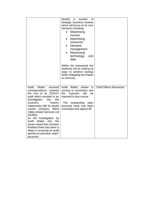|                                                                                                                                                                                                                                                                                                                                                                                                                                                                               | identify<br>number<br>οf<br>a<br>strategic business reviews<br>which will focus on its core<br>functions including:<br>Maximising<br>٠<br>income<br>Maximising<br>$\bullet$<br>resources<br>Demand<br>management<br>Maximising<br>technology<br>and<br>data<br>Within this framework the<br>Authority will be looking at<br>ways to achieve savings<br>whilst mitigating the impact<br>on services. |                                |
|-------------------------------------------------------------------------------------------------------------------------------------------------------------------------------------------------------------------------------------------------------------------------------------------------------------------------------------------------------------------------------------------------------------------------------------------------------------------------------|-----------------------------------------------------------------------------------------------------------------------------------------------------------------------------------------------------------------------------------------------------------------------------------------------------------------------------------------------------------------------------------------------------|--------------------------------|
| Audit<br>Wales<br>received<br>correspondence<br>towards<br>the end of its 2016/17<br>audit which resulted in an<br>investigation<br>the<br>into<br>Council's<br>historic<br>relationship with its wholly<br>owned<br>company Silent<br>Valley Waste Services Ltd<br>(SVWS).<br>As the investigation by<br>Audit<br>Wales<br>into<br>the<br>issues raised has not been<br>finalised there has been a<br>delay in receiving an audit<br>opinion on previous years'<br>accounts. | Wales<br>Audit<br>review<br>is<br>coming to conclusion and<br>the<br>outcome<br>will<br>be<br>reported in due course.<br>The<br>outstanding<br>open<br>accounts have now been<br>concluded and signed off.                                                                                                                                                                                          | <b>Chief Officer Resources</b> |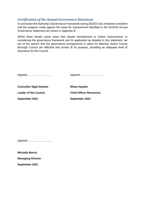# *Certification of the Annual Governance Statement*

In conclusion the Authority's Governance Framework during 2020/21 has remained consistent and the progress made against the areas for improvement identified in the 2019/20 Annual Governance Statement are shown in Appendix B.

Whilst there remain some areas that require development or further improvement, in considering the governance framework and its application as detailed in this statement, we are of the opinion that the governance arrangements in place for Blaenau Gwent County Borough Council are effective and remain fit for purpose, providing an adequate level of assurance for the Council.

| <b>Councillor Nigel Daniels</b> | <b>Rhian Hayden</b>            |
|---------------------------------|--------------------------------|
| <b>Leader of the Council</b>    | <b>Chief Officer Resources</b> |
| September 2021                  | September 2021                 |

(signed)………………………..

**Michelle Morris Managing Director** 

**September 2021**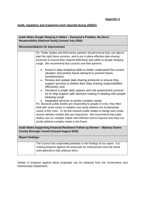**Audit, regulatory and inspection work reported during 2020/21**

| Audit Wales Rough Sleeping in Wales - Everyone's Problem, No One's                                                                 |                                                                                                                                                                                                                                                                                                                                                                                                                                                                                       |  |
|------------------------------------------------------------------------------------------------------------------------------------|---------------------------------------------------------------------------------------------------------------------------------------------------------------------------------------------------------------------------------------------------------------------------------------------------------------------------------------------------------------------------------------------------------------------------------------------------------------------------------------|--|
| Responsibility (National Study) (issued July 2020)                                                                                 |                                                                                                                                                                                                                                                                                                                                                                                                                                                                                       |  |
|                                                                                                                                    |                                                                                                                                                                                                                                                                                                                                                                                                                                                                                       |  |
|                                                                                                                                    | <b>Recommendations for Improvement</b>                                                                                                                                                                                                                                                                                                                                                                                                                                                |  |
|                                                                                                                                    | R1 Public bodies and third sector partners should ensure they use data to<br>plan the right future services, and to put in place effective data sharing<br>protocols to ensure they respond effectively and safely to people sleeping<br>rough. We recommend that councils and their partners                                                                                                                                                                                         |  |
|                                                                                                                                    | Invest in data analytical skills to better understand the current<br>$\bullet$<br>situation and predict future demand to prevent future<br>homelessness:                                                                                                                                                                                                                                                                                                                              |  |
|                                                                                                                                    | Review and update data sharing protocols to ensure they<br>support services to deliver their data sharing responsibilities<br>effectively; and                                                                                                                                                                                                                                                                                                                                        |  |
|                                                                                                                                    | Introduce a single data capture and risk assessment process<br>for to help support safe decision making in dealing with people<br>sleeping rough                                                                                                                                                                                                                                                                                                                                      |  |
|                                                                                                                                    | Integrated services to tackle complex needs<br>R2 Because public bodies are responding to people in crisis, they often<br>deal with acute issues in isolation and rarely address the fundamental<br>cause of the crisis. To do this requires public bodies to design and create<br>service delivery models that are responsive. We recommend that public<br>bodies use our complex needs self-reflection tool to improve how they can<br>jointly address complex needs in the future. |  |
| Audit Wales Supporting Financial Resilience Follow-up Review - Blaenau Gwent<br><b>County Borough Council (issued August 2020)</b> |                                                                                                                                                                                                                                                                                                                                                                                                                                                                                       |  |
| <b>Report findings:</b>                                                                                                            |                                                                                                                                                                                                                                                                                                                                                                                                                                                                                       |  |
|                                                                                                                                    | The Council has responded positively to the findings of our report: it is<br>making progress against the proposals for improvement and has future<br>work planned to fully address them.                                                                                                                                                                                                                                                                                              |  |

Details of progress against these proposals can be obtained from the Governance and Partnerships Department.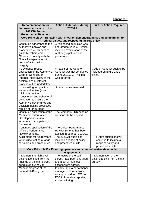# **Appendix B**

| <b>Recommendation for</b><br>Improvement made in the                                                                                                                                                                    | <b>Action Undertaken during</b><br>2020/21                                                                                          | <b>Further Action Required</b>                                                               |
|-------------------------------------------------------------------------------------------------------------------------------------------------------------------------------------------------------------------------|-------------------------------------------------------------------------------------------------------------------------------------|----------------------------------------------------------------------------------------------|
| <b>2019/20 Annual</b><br><b>Governance Statement</b>                                                                                                                                                                    |                                                                                                                                     |                                                                                              |
|                                                                                                                                                                                                                         | Core Principle A – Behaving with integrity, demonstrating strong commitment to                                                      |                                                                                              |
|                                                                                                                                                                                                                         | ethical values, and respecting the rule of law.                                                                                     |                                                                                              |
| Continued adherence to the<br>Authority's policies and<br>procedures which exist to<br>guide Members and<br>Officers to comply with the<br>Council's expectations in<br>terms of acting with<br>integrity.              | A risk based audit plan was<br>operated for 2020/21 which<br>included examination of the<br>Authority's policies and<br>procedures. |                                                                                              |
| To evidence robust<br>application of the Authority's<br>Code of Conduct, an<br>Internal Audit review of the<br>declarations of interest<br>process will be undertaken                                                   | An audit of the Code of<br>Conduct was not conducted<br>during 2019/20. The item<br>was deferred.                                   | Code of Conduct audit to be<br>included on future audit<br>plans.                            |
| In line with good practice,<br>an annual review (as a<br>minimum) of the<br>Constitution and Scheme of<br>delegation to ensure the<br>Authority's governance and<br>decision making processes<br>remain fit for purpose | Annual review resumed                                                                                                               |                                                                                              |
| Continued application of the<br><b>Members Performance</b><br><b>Development Review</b><br>scheme and competency<br>framework                                                                                           | The Members PDR scheme<br>continues to be applied.                                                                                  |                                                                                              |
| Continued application of the<br><b>Officers Performance</b><br>Review Scheme.                                                                                                                                           | The Officer Performance<br>Review Scheme has been<br>applied throughout 2020/21.                                                    |                                                                                              |
| Audit plans for future years<br>will include testing a range<br>of policies and procedures.                                                                                                                             | The 2020/21 audit plan<br>included a range of policy<br>and procedure audits.                                                       | Future audit plans will<br>continue to include a<br>range of policy and<br>procedure audits. |
| Core Principle B - Ensuring openness and comprehensive stakeholder                                                                                                                                                      |                                                                                                                                     |                                                                                              |
| Implement the high level                                                                                                                                                                                                | engagement.<br>The results of the staff                                                                                             | Implementation of the                                                                        |
| actions identified from the<br>findings of the staff survey<br>conducted during Jan.                                                                                                                                    | survey have been analysed<br>and a set of high level<br>actions were agreed.                                                        | actions arising from the staff<br>survey.                                                    |
| Monitor progress of the<br>Local Well-Being Plan.                                                                                                                                                                       | In early 2020 a performance<br>management framework<br>was approved for SSG and<br>PSB to formalise reporting<br>and monitoring     |                                                                                              |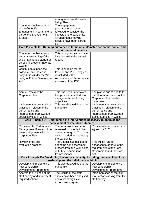|                                                                                                                                   | arrangements of the Well-                                                          |                                        |
|-----------------------------------------------------------------------------------------------------------------------------------|------------------------------------------------------------------------------------|----------------------------------------|
|                                                                                                                                   | being Plan.                                                                        |                                        |
| Continued implementation<br>of the Council's                                                                                      | The engagement<br>programme has been                                               |                                        |
| Engagement Programme as                                                                                                           | reviewed to consider the                                                           |                                        |
| part of the Engagement                                                                                                            | impacts of the pandemic.                                                           |                                        |
| Strategy.                                                                                                                         | Arrangements moving                                                                |                                        |
|                                                                                                                                   | forward have been agreed                                                           |                                        |
|                                                                                                                                   | by CLT.                                                                            |                                        |
|                                                                                                                                   | Core Principle C - Defining outcomes in terms of sustainable economic, social, and |                                        |
|                                                                                                                                   | environmental benefits.                                                            |                                        |
| Continued implementation                                                                                                          | This is ongoing and updates                                                        |                                        |
| and mainstreaming of the                                                                                                          | included within the annual                                                         |                                        |
| Welsh Language standards                                                                                                          | report.                                                                            |                                        |
| across all areas of Blaenau                                                                                                       |                                                                                    |                                        |
| Gwent.                                                                                                                            |                                                                                    |                                        |
| Continue to support the                                                                                                           | This is ongoing for the                                                            |                                        |
| collective and individual                                                                                                         | Council and PSB. Progress                                                          |                                        |
| body duties under the Well-                                                                                                       | is included in the                                                                 |                                        |
| being of Future Generations<br>Act.                                                                                               | Assessment of Performance<br>and work of the PSB.                                  |                                        |
|                                                                                                                                   |                                                                                    |                                        |
|                                                                                                                                   |                                                                                    |                                        |
|                                                                                                                                   |                                                                                    |                                        |
| Annual review of the                                                                                                              | This has been undertaken                                                           | The plan is due to end 2022            |
| Corporate Plan                                                                                                                    | this year and resulted in a                                                        | therefore a full review of the         |
|                                                                                                                                   | change to the well-being<br>objectives.                                            | Corporate Plan is to be<br>undertaken. |
| Implement the new code of                                                                                                         | This was delayed due to the                                                        | Implement the new code of              |
| practice in relation to the                                                                                                       | pandemic.                                                                          | practice in relation to the            |
| performance and                                                                                                                   |                                                                                    | performance and                        |
| improvement framework of                                                                                                          |                                                                                    | improvement framework of               |
| social services in Wales.                                                                                                         |                                                                                    | Social Services in Wales               |
|                                                                                                                                   | Core Principle D - Determining the interventions necessary to optimise the         |                                        |
|                                                                                                                                   | achievement of intended outcomes.                                                  |                                        |
| Review of the Performance   The framework has been                                                                                |                                                                                    | Review to be concluded and             |
| Management Framework to                                                                                                           | reviewed but needs to be                                                           | agreed by CLT                          |
| ensure alignment with the                                                                                                         | agreed through CLT - delay                                                         |                                        |
| Corporate Plan.                                                                                                                   | owing to priorities regarding                                                      |                                        |
|                                                                                                                                   | the pandemic.                                                                      |                                        |
| Review of the self-                                                                                                               | The Council has decided to                                                         | This will be further                   |
| evaluation process.                                                                                                               | adopt the self-assessment                                                          | enhanced to adhere to the              |
|                                                                                                                                   | process from the Well-being                                                        | requirements of the Local              |
|                                                                                                                                   | of Future Generations                                                              | <b>Government and Elections</b>        |
|                                                                                                                                   | Commissioner.                                                                      | Act.                                   |
| Core Principle E - Developing the entity's capacity, including the capability of its<br>leadership and the individuals within it. |                                                                                    |                                        |
| Develop and implement a                                                                                                           | This was delayed due to the                                                        | Develop and implement a                |
| new Leadership                                                                                                                    | pandemic.                                                                          | new Leadership                         |
| Development Programme                                                                                                             |                                                                                    | Development Programme                  |
| Analyse the findings of the                                                                                                       | The results of the staff                                                           | Implementation of the high             |
| staff survey and implement                                                                                                        | survey have been analysed                                                          | level actions arising from the         |
| required actions.                                                                                                                 | and a set of high level                                                            | staff survey.                          |
|                                                                                                                                   | actions were agreed.                                                               |                                        |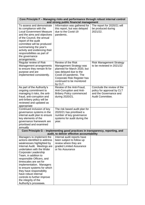| Core Principle F – Managing risks and performance through robust internal control<br>and strong public financial management                                                                                                                                                                                                                                                                                                                                 |                                                                                                                                                                                                                |                                                                                                        |  |
|-------------------------------------------------------------------------------------------------------------------------------------------------------------------------------------------------------------------------------------------------------------------------------------------------------------------------------------------------------------------------------------------------------------------------------------------------------------|----------------------------------------------------------------------------------------------------------------------------------------------------------------------------------------------------------------|--------------------------------------------------------------------------------------------------------|--|
| To assess and demonstrate<br>its compliance with the<br><b>Local Government Measure</b><br>and the aims and objectives<br>of the Council, the annual<br>report of the audit<br>committee will be produced<br>summarising the year's<br>activity and evidencing their<br>responsibilities as part of<br>the governance<br>arrangements.                                                                                                                      | Information was gathered for<br>this report, but was delayed<br>due to the Covid-19<br>pandemic.                                                                                                               | The report for 2020/21 will<br>be produced during<br>2021/22.                                          |  |
| Regular review of Risk<br>Management arrangements<br>to ensure they remain fit for<br>purpose and are<br>implemented consistently.                                                                                                                                                                                                                                                                                                                          | Review of the Risk<br><b>Management Strategy was</b><br>planned for March 2020, but<br>was delayed due to the<br>Covid-19 pandemic. The<br>Corporate Risk Register has<br>continued to be monitored<br>by CLT. | <b>Risk Management Strategy</b><br>to be reviewed in 2021/22                                           |  |
| As part of the Authority's<br>ongoing commitment to<br>managing it risks, the anti-<br>fraud, anti-corruption and<br>anti-bribery policy will be<br>reviewed and updated as<br>appropriate                                                                                                                                                                                                                                                                  | Review of the Anti-Fraud,<br>Anti-Corruption and Anti-<br><b>Bribery Policy commenced</b><br>during 2020/21.                                                                                                   | Conclude the review of the<br>policy for approval by CLT<br>and the Governance and<br>Audit Committee. |  |
| Continued inclusion of key<br>governance systems in the<br>internal audit plan to ensure<br>key elements of the<br>governance framework are<br>prioritised and examined<br>annually                                                                                                                                                                                                                                                                         | The risk based audit plan for<br>2020/21 has prioritised a<br>number of key governance<br>systems for audit during the<br>year.                                                                                |                                                                                                        |  |
|                                                                                                                                                                                                                                                                                                                                                                                                                                                             | Core Principle G - Implementing good practices in transparency, reporting, and<br>audit, to deliver effective accountability                                                                                   |                                                                                                        |  |
| Managers to implement the<br>actions identified to address<br>weaknesses highlighted by<br>Internal Audit. Meetings are<br>undertaken with the Wider<br>Corporate Leadership<br>Team, in addition to<br>responsible Officers, and<br>timescales are set for<br>implementation. Managers<br>to ensure systems for which<br>they have responsibility<br>have robust internal<br>controls to further improve<br>the integrity of the<br>Authority's processes. | Internal audit reports have<br>been subject to follow up<br>review where they are<br>graded Limited Assurance<br>or No Assurance                                                                               |                                                                                                        |  |